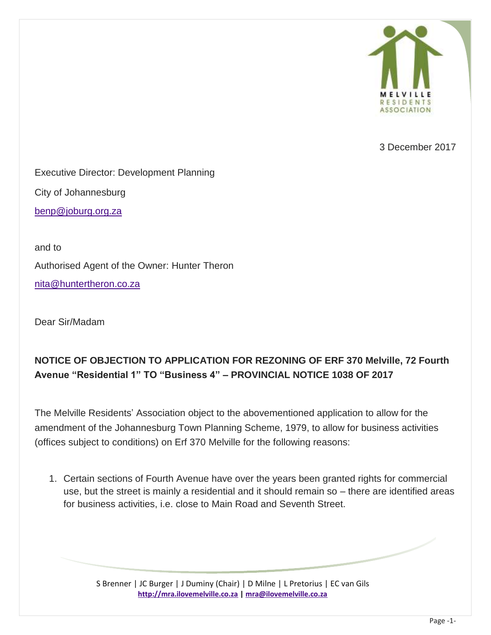

3 December 2017

Executive Director: Development Planning

City of Johannesburg

[benp@joburg.org.za](mailto:benp@joburg.org.za)

and to Authorised Agent of the Owner: Hunter Theron [nita@huntertheron.co.za](mailto:nita@huntertheron.co.za)

Dear Sir/Madam

## **NOTICE OF OBJECTION TO APPLICATION FOR REZONING OF ERF 370 Melville, 72 Fourth Avenue "Residential 1" TO "Business 4" – PROVINCIAL NOTICE 1038 OF 2017**

The Melville Residents' Association object to the abovementioned application to allow for the amendment of the Johannesburg Town Planning Scheme, 1979, to allow for business activities (offices subject to conditions) on Erf 370 Melville for the following reasons:

1. Certain sections of Fourth Avenue have over the years been granted rights for commercial use, but the street is mainly a residential and it should remain so – there are identified areas for business activities, i.e. close to Main Road and Seventh Street.

> S Brenner | JC Burger | J Duminy (Chair) | D Milne | L Pretorius | EC van Gils **[http://mra.ilovemelville.co.za](http://mra.ilovemelville.co.za/) [| mra@ilovemelville.co.za](mailto:mra@ilovemelville.co.za)**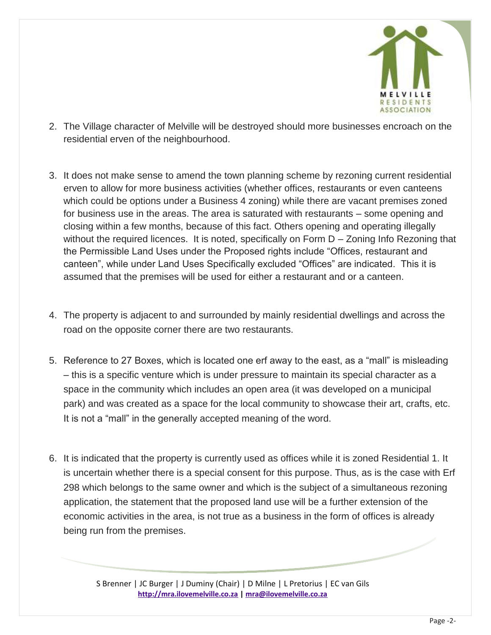

- 2. The Village character of Melville will be destroyed should more businesses encroach on the residential erven of the neighbourhood.
- 3. It does not make sense to amend the town planning scheme by rezoning current residential erven to allow for more business activities (whether offices, restaurants or even canteens which could be options under a Business 4 zoning) while there are vacant premises zoned for business use in the areas. The area is saturated with restaurants – some opening and closing within a few months, because of this fact. Others opening and operating illegally without the required licences. It is noted, specifically on Form D – Zoning Info Rezoning that the Permissible Land Uses under the Proposed rights include "Offices, restaurant and canteen", while under Land Uses Specifically excluded "Offices" are indicated. This it is assumed that the premises will be used for either a restaurant and or a canteen.
- 4. The property is adjacent to and surrounded by mainly residential dwellings and across the road on the opposite corner there are two restaurants.
- 5. Reference to 27 Boxes, which is located one erf away to the east, as a "mall" is misleading – this is a specific venture which is under pressure to maintain its special character as a space in the community which includes an open area (it was developed on a municipal park) and was created as a space for the local community to showcase their art, crafts, etc. It is not a "mall" in the generally accepted meaning of the word.
- 6. It is indicated that the property is currently used as offices while it is zoned Residential 1. It is uncertain whether there is a special consent for this purpose. Thus, as is the case with Erf 298 which belongs to the same owner and which is the subject of a simultaneous rezoning application, the statement that the proposed land use will be a further extension of the economic activities in the area, is not true as a business in the form of offices is already being run from the premises.

S Brenner | JC Burger | J Duminy (Chair) | D Milne | L Pretorius | EC van Gils **[http://mra.ilovemelville.co.za](http://mra.ilovemelville.co.za/) [| mra@ilovemelville.co.za](mailto:mra@ilovemelville.co.za)**